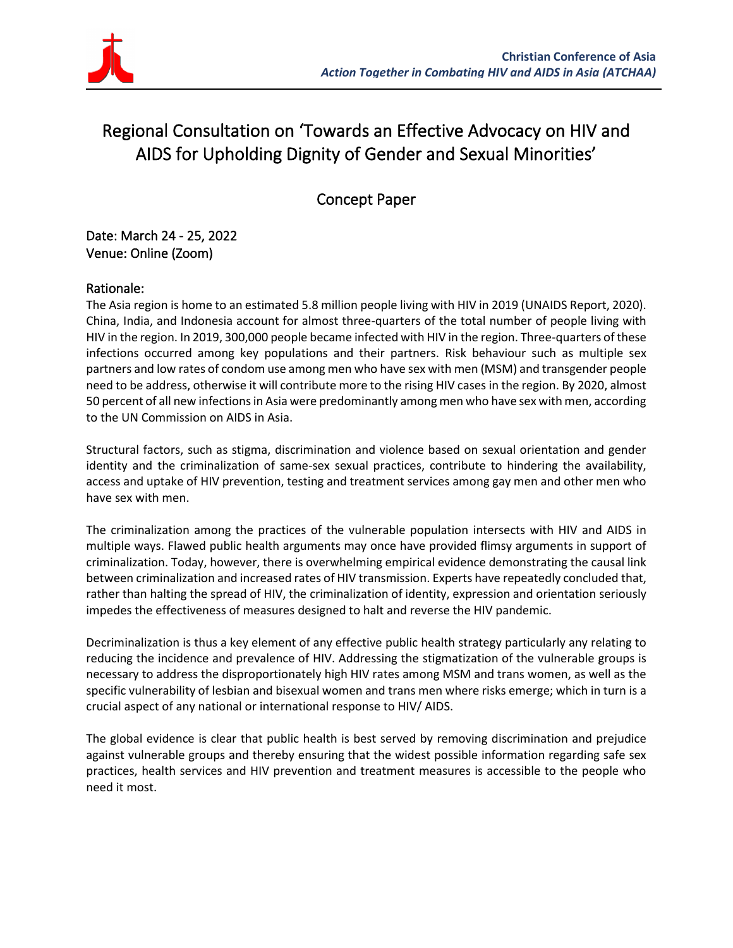

# Regional Consultation on 'Towards an Effective Advocacy on HIV and AIDS for Upholding Dignity of Gender and Sexual Minorities'

Concept Paper

Date: March 24 - 25, 2022 Venue: Online (Zoom)

### Rationale:

The Asia region is home to an estimated 5.8 million people living with HIV in 2019 (UNAIDS Report, 2020). China, India, and Indonesia account for almost three-quarters of the total number of people living with HIV in the region. In 2019, 300,000 people became infected with HIV in the region. Three-quarters of these infections occurred among key populations and their partners. Risk behaviour such as multiple sex partners and low rates of condom use among men who have sex with men (MSM) and transgender people need to be address, otherwise it will contribute more to the rising HIV cases in the region. By 2020, almost 50 percent of all new infections in Asia were predominantly among men who have sex with men, according to the UN Commission on AIDS in Asia.

Structural factors, such as stigma, discrimination and violence based on sexual orientation and gender identity and the criminalization of same-sex sexual practices, contribute to hindering the availability, access and uptake of HIV prevention, testing and treatment services among gay men and other men who have sex with men.

The criminalization among the practices of the vulnerable population intersects with HIV and AIDS in multiple ways. Flawed public health arguments may once have provided flimsy arguments in support of criminalization. Today, however, there is overwhelming empirical evidence demonstrating the causal link between criminalization and increased rates of HIV transmission. Experts have repeatedly concluded that, rather than halting the spread of HIV, the criminalization of identity, expression and orientation seriously impedes the effectiveness of measures designed to halt and reverse the HIV pandemic.

Decriminalization is thus a key element of any effective public health strategy particularly any relating to reducing the incidence and prevalence of HIV. Addressing the stigmatization of the vulnerable groups is necessary to address the disproportionately high HIV rates among MSM and trans women, as well as the specific vulnerability of lesbian and bisexual women and trans men where risks emerge; which in turn is a crucial aspect of any national or international response to HIV/ AIDS.

The global evidence is clear that public health is best served by removing discrimination and prejudice against vulnerable groups and thereby ensuring that the widest possible information regarding safe sex practices, health services and HIV prevention and treatment measures is accessible to the people who need it most.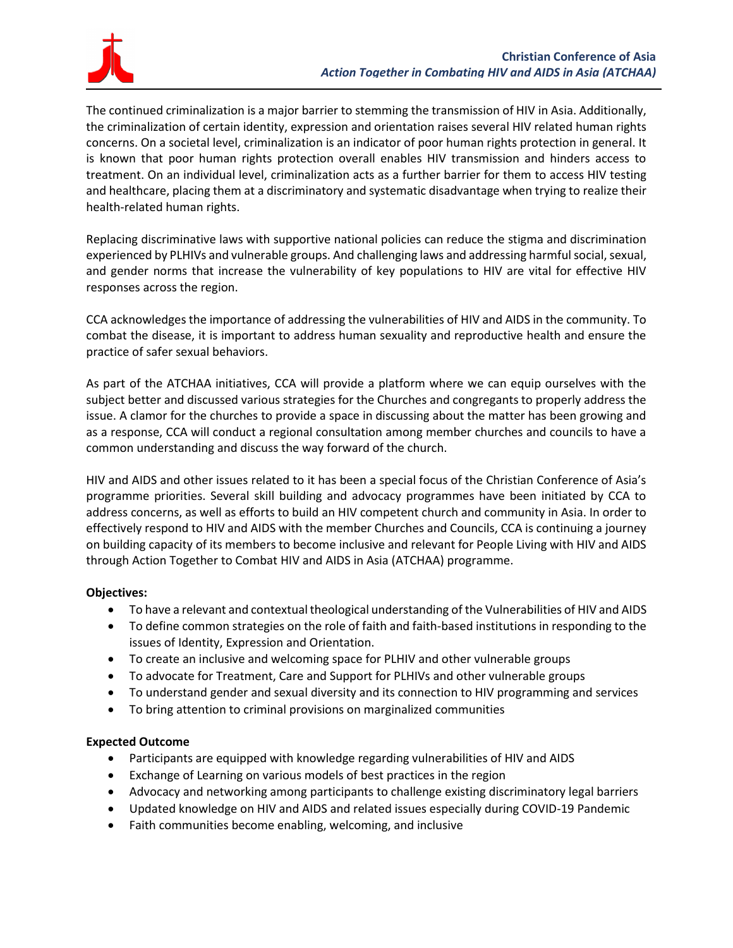

The continued criminalization is a major barrier to stemming the transmission of HIV in Asia. Additionally, the criminalization of certain identity, expression and orientation raises several HIV related human rights concerns. On a societal level, criminalization is an indicator of poor human rights protection in general. It is known that poor human rights protection overall enables HIV transmission and hinders access to treatment. On an individual level, criminalization acts as a further barrier for them to access HIV testing and healthcare, placing them at a discriminatory and systematic disadvantage when trying to realize their health-related human rights.

Replacing discriminative laws with supportive national policies can reduce the stigma and discrimination experienced by PLHIVs and vulnerable groups. And challenging laws and addressing harmful social, sexual, and gender norms that increase the vulnerability of key populations to HIV are vital for effective HIV responses across the region.

CCA acknowledges the importance of addressing the vulnerabilities of HIV and AIDS in the community. To combat the disease, it is important to address human sexuality and reproductive health and ensure the practice of safer sexual behaviors.

As part of the ATCHAA initiatives, CCA will provide a platform where we can equip ourselves with the subject better and discussed various strategies for the Churches and congregants to properly address the issue. A clamor for the churches to provide a space in discussing about the matter has been growing and as a response, CCA will conduct a regional consultation among member churches and councils to have a common understanding and discuss the way forward of the church.

HIV and AIDS and other issues related to it has been a special focus of the Christian Conference of Asia's programme priorities. Several skill building and advocacy programmes have been initiated by CCA to address concerns, as well as efforts to build an HIV competent church and community in Asia. In order to effectively respond to HIV and AIDS with the member Churches and Councils, CCA is continuing a journey on building capacity of its members to become inclusive and relevant for People Living with HIV and AIDS through Action Together to Combat HIV and AIDS in Asia (ATCHAA) programme.

#### **Objectives:**

- To have a relevant and contextual theological understanding of the Vulnerabilities of HIV and AIDS
- To define common strategies on the role of faith and faith-based institutions in responding to the issues of Identity, Expression and Orientation.
- To create an inclusive and welcoming space for PLHIV and other vulnerable groups
- To advocate for Treatment, Care and Support for PLHIVs and other vulnerable groups
- To understand gender and sexual diversity and its connection to HIV programming and services
- To bring attention to criminal provisions on marginalized communities

#### **Expected Outcome**

- Participants are equipped with knowledge regarding vulnerabilities of HIV and AIDS
- Exchange of Learning on various models of best practices in the region
- Advocacy and networking among participants to challenge existing discriminatory legal barriers
- Updated knowledge on HIV and AIDS and related issues especially during COVID-19 Pandemic
- Faith communities become enabling, welcoming, and inclusive